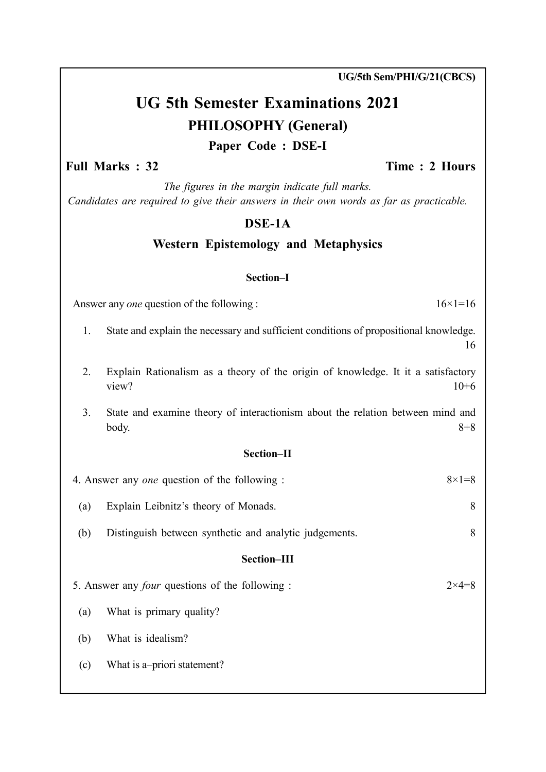UG/5th Sem/PHI/G/21(CBCS)

# UG 5th Semester Examinations 2021 PHILOSOPHY (General) Paper Code : DSE-I

## Full Marks : 32 Time : 2 Hours

The figures in the margin indicate full marks. Candidates are required to give their answers in their own words as far as practicable.

### DSE-1A

# Western Epistemology and Metaphysics

#### Section–I

Answer any *one* question of the following :  $16 \times 1 = 16$ 

- 1. State and explain the necessary and sufficient conditions of propositional knowledge. 16
- 2. Explain Rationalism as a theory of the origin of knowledge. It it a satisfactory view?  $10+6$
- 3. State and examine theory of interactionism about the relation between mind and  $\text{body.}$   $8+8$

#### Section–II

| 4. Answer any <i>one</i> question of the following :<br>$8 \times 1 = 8$ |                                                        |  |  |  |
|--------------------------------------------------------------------------|--------------------------------------------------------|--|--|--|
| Explain Leibnitz's theory of Monads.                                     | 8                                                      |  |  |  |
| Distinguish between synthetic and analytic judgements.                   | 8                                                      |  |  |  |
| Section-III                                                              |                                                        |  |  |  |
|                                                                          | $2\times 4=8$                                          |  |  |  |
| What is primary quality?                                                 |                                                        |  |  |  |
| What is idealism?                                                        |                                                        |  |  |  |
| What is a-priori statement?                                              |                                                        |  |  |  |
|                                                                          | 5. Answer any <i>four</i> questions of the following : |  |  |  |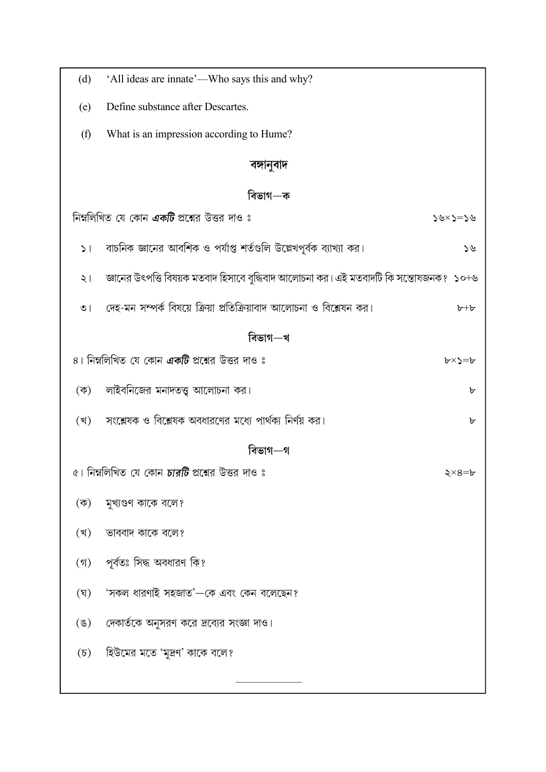| (d)                 | 'All ideas are innate'—Who says this and why?                                          |               |  |  |  |
|---------------------|----------------------------------------------------------------------------------------|---------------|--|--|--|
| (e)                 | Define substance after Descartes.                                                      |               |  |  |  |
| (f)                 | What is an impression according to Hume?                                               |               |  |  |  |
|                     | বঙ্গানুবাদ                                                                             |               |  |  |  |
|                     | বিভাগ—ক                                                                                |               |  |  |  |
|                     | নিম্নলিখিত যে কোন <b>একটি</b> প্রশ্নের উত্তর দাও ঃ                                     | ৬<=<×७<       |  |  |  |
| 51                  | বাচনিক জ্ঞানের আবশিক ও পর্যাপ্ত শর্তগুলি উল্লেখপূর্বক ব্যাখ্যা কর।                     | ১৬            |  |  |  |
| ২।                  | জ্ঞানের উৎপত্তি বিষয়ক মতবাদ হিসাবে বুদ্ধিবাদ আলোচনা কর। এই মতবাদটি কি সন্তোষজনক? ১০+৬ |               |  |  |  |
| $\circ$             | দেহ-মন সম্পর্ক বিষয়ে ক্রিয়া প্রতিক্রিয়াবাদ আলোচনা ও বিশ্লেষন কর।                    | $b+b$         |  |  |  |
|                     | বিভাগ—খ                                                                                |               |  |  |  |
|                     | ৪। নিম্নলিখিত যে কোন <b>একটি</b> প্রশ্নের উত্তর দাও ঃ                                  | <b>ト×ゝ=</b> ト |  |  |  |
| $(\vec{\Phi})$      | লাইবনিজের মনাদতত্ত্ব আলোচনা কর।                                                        | ৮             |  |  |  |
| (খ)                 | সংশ্লেষক ও বিশ্লেষক অবধারণের মধ্যে পার্থক্য নির্ণয় কর।                                | ৮             |  |  |  |
|                     | বিভাগ—গ                                                                                |               |  |  |  |
|                     | ৫। নিম্নলিখিত যে কোন <b>চারটি</b> প্রশ্নের উত্তর দাও ঃ                                 | $\xi$ ×8= $b$ |  |  |  |
| $(\overline{\Phi})$ | মুখ্যগুণ কাকে বলে?                                                                     |               |  |  |  |
| (খ)                 | ভাববাদ কাকে বলে?                                                                       |               |  |  |  |
| $($ গ)              | পূৰ্বতঃ সিদ্ধ অবধারণ কি?                                                               |               |  |  |  |
| (ঘ্)                | 'সকল ধারণাই সহজাত'—কে এবং কেন বলেছেন?                                                  |               |  |  |  |
| $(\mathscr{G})$     | দেকার্তকে অনুসরণ করে দ্রব্যের সংজ্ঞা দাও।                                              |               |  |  |  |
| $(\mathfrak{D})$    | হিউমের মতে 'মুদ্রণ' কাকে বলে?                                                          |               |  |  |  |
|                     |                                                                                        |               |  |  |  |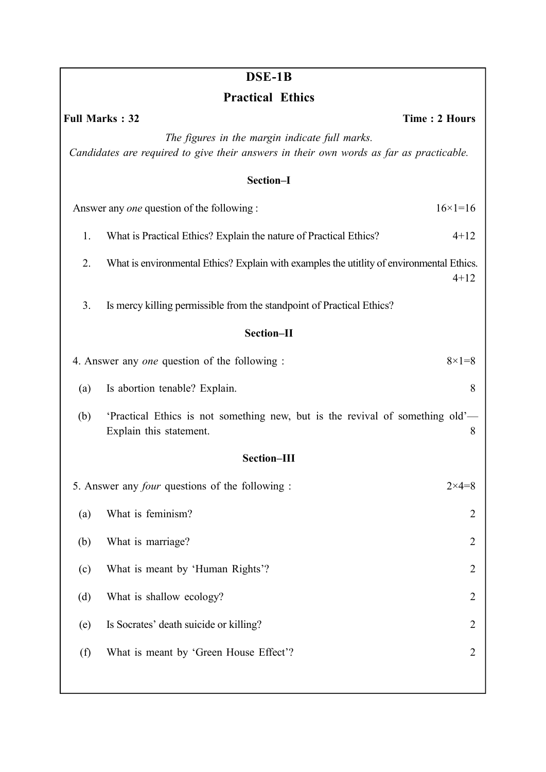|                         | DSE-1B                                                                                                                                    |                      |  |  |
|-------------------------|-------------------------------------------------------------------------------------------------------------------------------------------|----------------------|--|--|
| <b>Practical Ethics</b> |                                                                                                                                           |                      |  |  |
|                         | <b>Full Marks: 32</b>                                                                                                                     | <b>Time: 2 Hours</b> |  |  |
|                         | The figures in the margin indicate full marks.<br>Candidates are required to give their answers in their own words as far as practicable. |                      |  |  |
| Section-I               |                                                                                                                                           |                      |  |  |
|                         | Answer any <i>one</i> question of the following :                                                                                         | $16 \times 1 = 16$   |  |  |
| 1.                      | What is Practical Ethics? Explain the nature of Practical Ethics?                                                                         | $4 + 12$             |  |  |
| 2.                      | What is environmental Ethics? Explain with examples the utitlity of environmental Ethics.                                                 | $4 + 12$             |  |  |
| 3.                      | Is mercy killing permissible from the standpoint of Practical Ethics?                                                                     |                      |  |  |
| Section-II              |                                                                                                                                           |                      |  |  |
|                         | 4. Answer any one question of the following :                                                                                             | $8 \times 1 = 8$     |  |  |
| (a)                     | Is abortion tenable? Explain.                                                                                                             | 8                    |  |  |
| (b)                     | 'Practical Ethics is not something new, but is the revival of something old'—<br>Explain this statement.                                  | 8                    |  |  |
|                         | Section-III                                                                                                                               |                      |  |  |
|                         | 5. Answer any <i>four</i> questions of the following :                                                                                    | $2 \times 4 = 8$     |  |  |
| (a)                     | What is feminism?                                                                                                                         | 2                    |  |  |
| (b)                     | What is marriage?                                                                                                                         | $\overline{2}$       |  |  |
| (c)                     | What is meant by 'Human Rights'?                                                                                                          | 2                    |  |  |
| (d)                     | What is shallow ecology?                                                                                                                  | 2                    |  |  |
| (e)                     | Is Socrates' death suicide or killing?                                                                                                    | 2                    |  |  |
| (f)                     | What is meant by 'Green House Effect'?                                                                                                    | 2                    |  |  |
|                         |                                                                                                                                           |                      |  |  |